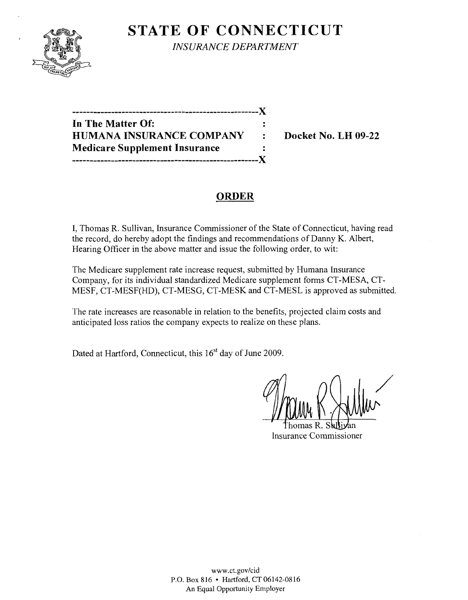

**STATE OF CONNECTICUT** *INSURANCE DEPARTMENT* 

**-----------------------------------------------------){ In The Matter Of: HUMANA INSURANCE COMPANY : Docket No. LH 09-22 Medicare Supplement Insurance**   $\frac{1}{\pi}$ **-----------------------------------------------------){** 

# **ORDER**

I, Thomas R. Sullivan, Insurance Commissioner of the State of Connecticut, having read the record, do hereby adopt the findings and recommendations of Danny K. Albert, Hearing Officer in the above matter and issue the following order, to wit:

The Medicare supplement rate increase request, submitted by Humana Insurance Company, for its individual standardized Medicare supplement forms CT-MESA, CT-MESF, CT-MESF(HD), CT-MESG, CT-MESK and CT-MESL is approved as submitted.

The rate increases are reasonable in relation to the benefits, projected claim costs and anticipated loss ratios the company expects to realize on these plans.

Dated at Hartford, Connecticut, this 16<sup>st</sup> day of June 2009.

/

Insurance Commissioner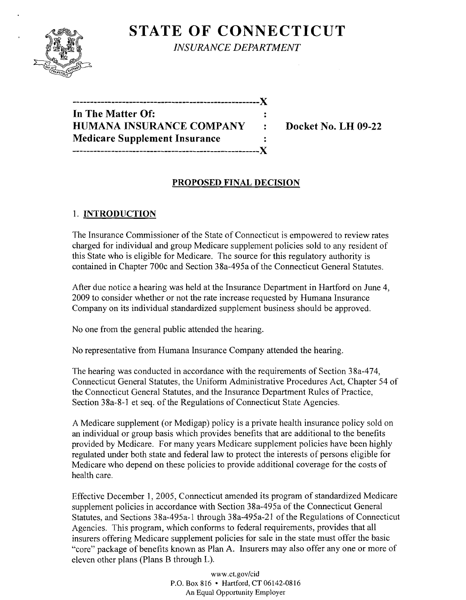

**STATE OF CONNECTICUT** *INSURANCE DEPARTMENT* 

**-----------------------------------------------------)( In The Matter Of: HUMANA INSURANCE COMPANY : Docket No. LH 09-22 Medicare Supplement Insurance -----------------------------------------------------)(** 

### **PROPOSED FINAL DECISION**

## 1. **INTRODUCTION**

The Insurance Commissioner of the State of Connecticut is empowered to review rates charged for individual and group Medicare supplement policies sold to any resident of this State who is eligible for Medicare. The source for this regulatory authority is contained in Chapter 700c and Section 38a-495a of the Connecticut General Statutes.

After due notice a hearing was held at the Insurance Department in Hartford on June 4, 2009 to consider whether or not the rate increase requested by Humana Insurance Company on its individual standardized supplement business should be approved.

No one from the general public attended the hearing.

No representative from Humana Insurance Company attended the hearing.

The hearing was conducted in accordance with the requirements of Section 38a-474, Connecticut General Statutes, the Uniform Administrative Procedures Act, Chapter 54 of the Connecticut General Statutes, and the Insurance Department Rules of Practice, Section 38a-8-1 et seq. of the Regulations of Connecticut State Agencies.

A Medicare supplement (or Medigap) policy is a private health insurance policy sold on an individual or group basis which provides benefits that are additional to the benefits provided by Medicare. For many years Medicare supplement policies have been highly regulated under both state and federal law to protect the interests of persons eligible for Medicare who depend on these policies to provide additional coverage for the costs of health care.

Effective December 1, 2005, Connecticut amended its program of standardized Medicare supplement policies in accordance with Section 38a-495a of the Connecticut General Statutes, and Sections 38a-495a-1 through 38a-495a-21 of the Regulations of Connecticut Agencies. This program, which conforms to federal requirements, provides that all insurers offering Medicare supplement policies for sale in the state must offer the basic "core" package of benefits known as Plan A. Insurers may also offer anyone or more of eleven other plans (Plans B through L).

> www.ct.gov/cid P.O. Box 816 • Hartford, CT 06142-0816 An Equal Opportunity Employer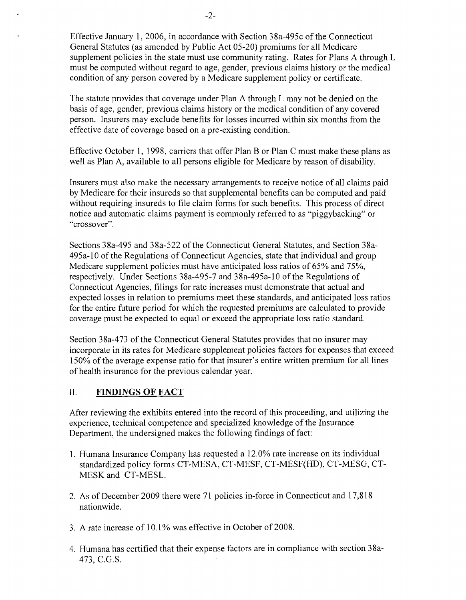Effective January 1,2006, in accordance with Section 38a-495c of the Connecticut General Statutes (as amended by Public Act 05-20) premiums for all Medicare supplement policies in the state must use community rating. Rates for Plans A through L must be computed without regard to age, gender, previous claims history or the medical condition of any person covered by a Medicare supplement policy or certificate.

The statute provides that coverage under Plan A through L may not be denied on the basis of age, gender, previous claims history or the medical condition of any covered person. Insurers may exclude benefits for losses incurred within six months from the effective date of coverage based on a pre-existing condition.

Effective October 1, 1998, carriers that offer Plan B or Plan C must make these plans as well as Plan A, available to all persons eligible for Medicare by reason of disability.

Insurers must also make the necessary arrangements to receive notice of all claims paid by Medicare for their insureds so that supplemental benefits can be computed and paid without requiring insureds to file claim forms for such benefits. This process of direct notice and automatic claims payment is commonly referred to as "piggybacking" or "crossover".

Sections 38a-495 and 38a-522 of the Connecticut General Statutes, and Section 38a-495a-lO of the Regulations of Connecticut Agencies, state that individual and group Medicare supplement policies must have anticipated loss ratios of 65% and 75%, respectively. Under Sections 38a-495-7 and 38a-495a-1O of the Regulations of Connecticut Agencies, filings for rate increases must demonstrate that actual and expected losses in relation to premiums meet these standards, and anticipated loss ratios for the entire future period for which the requested premiums are calculated to provide coverage must be expected to equal or exceed the appropriate loss ratio standard.

Section 38a-473 of the Connecticut General Statutes provides that no insurer may incorporate in its rates for Medicare supplement policies factors for expenses that exceed 150% of the average expense ratio for that insurer's entire written premium for all lines of health insurance for the previous calendar year.

#### II. **FINDINGS OF FACT**

After reviewing the exhibits entered into the record of this proceeding, and utilizing the experience, technical competence and specialized knowledge of the Insurance Department, the undersigned makes the following findings of fact:

- 1. Humana Insurance Company has requested a 12.0% rate increase on its individual standardized policy forms CT-MESA, CT-MESF, CT-MESF(HD), CT-MESG, CT-MESK and CT-MESL.
- 2. As of December 2009 there were 71 policies in-force in Connecticut and 17,818 nationwide.
- 3. A rate increase of 10.1% was effective in October of 2008.
- 4. Humana has certified that their expense factors are in compliance with section 38a-473, C.G.S.